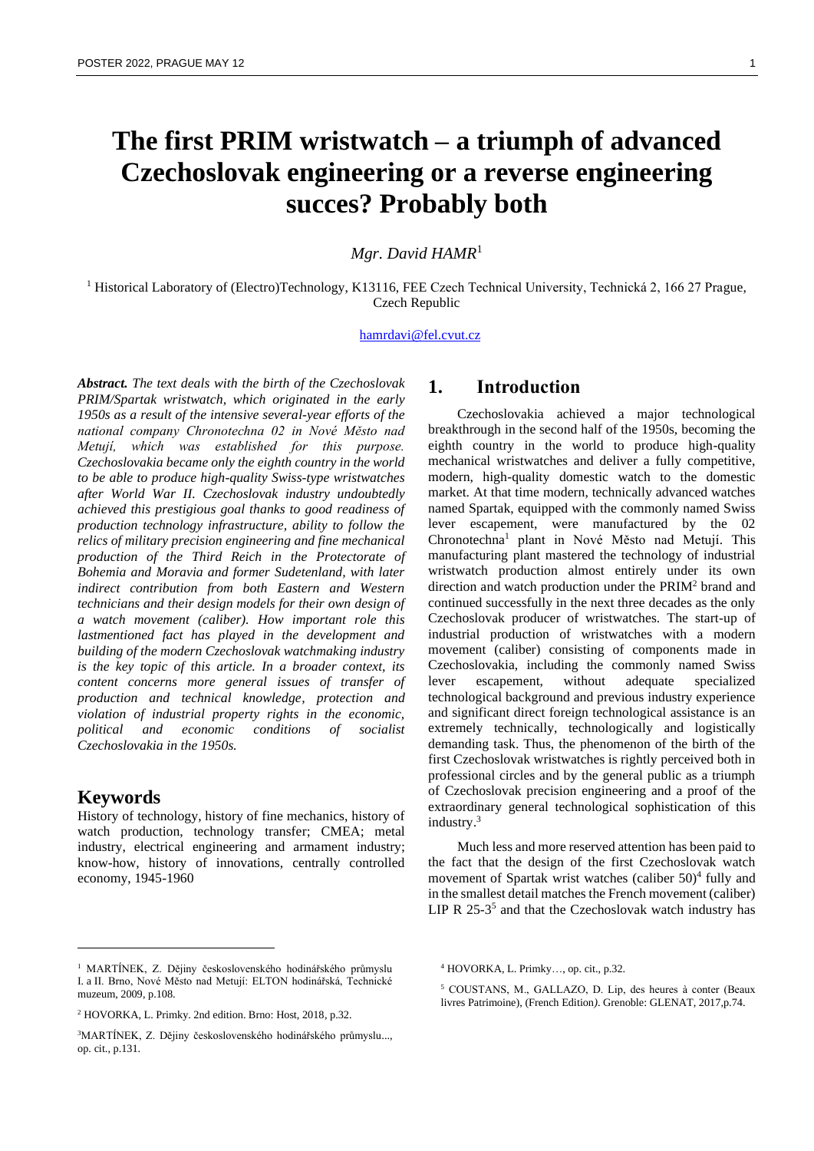# **The first PRIM wristwatch – a triumph of advanced Czechoslovak engineering or a reverse engineering succes? Probably both**

*Mgr. David HAMR*<sup>1</sup>

<sup>1</sup> Historical Laboratory of (Electro)Technology, K13116, FEE Czech Technical University, Technická 2, 166 27 Prague, Czech Republic

#### [hamrdavi@fel.cvut.cz](mailto:hamrdavi@fel.cvut.cz)

*Abstract. The text deals with the birth of the Czechoslovak PRIM/Spartak wristwatch, which originated in the early 1950s as a result of the intensive several-year efforts of the national company Chronotechna 02 in Nové Město nad Metují, which was established for this purpose. Czechoslovakia became only the eighth country in the world to be able to produce high-quality Swiss-type wristwatches after World War II. Czechoslovak industry undoubtedly achieved this prestigious goal thanks to good readiness of production technology infrastructure, ability to follow the relics of military precision engineering and fine mechanical production of the Third Reich in the Protectorate of Bohemia and Moravia and former Sudetenland, with later indirect contribution from both Eastern and Western technicians and their design models for their own design of a watch movement (caliber). How important role this lastmentioned fact has played in the development and building of the modern Czechoslovak watchmaking industry is the key topic of this article. In a broader context, its content concerns more general issues of transfer of production and technical knowledge, protection and violation of industrial property rights in the economic, political and economic conditions of socialist Czechoslovakia in the 1950s.*

### **Keywords**

History of technology, history of fine mechanics, history of watch production, technology transfer; CMEA; metal industry, electrical engineering and armament industry; know-how, history of innovations, centrally controlled economy, 1945-1960

# **1. Introduction**

Czechoslovakia achieved a major technological breakthrough in the second half of the 1950s, becoming the eighth country in the world to produce high-quality mechanical wristwatches and deliver a fully competitive, modern, high-quality domestic watch to the domestic market. At that time modern, technically advanced watches named Spartak, equipped with the commonly named Swiss lever escapement, were manufactured by the 02 Chronotechna<sup>1</sup> plant in Nové Město nad Metují. This manufacturing plant mastered the technology of industrial wristwatch production almost entirely under its own direction and watch production under the PRIM<sup>2</sup> brand and continued successfully in the next three decades as the only Czechoslovak producer of wristwatches. The start-up of industrial production of wristwatches with a modern movement (caliber) consisting of components made in Czechoslovakia, including the commonly named Swiss lever escapement, without adequate specialized technological background and previous industry experience and significant direct foreign technological assistance is an extremely technically, technologically and logistically demanding task. Thus, the phenomenon of the birth of the first Czechoslovak wristwatches is rightly perceived both in professional circles and by the general public as a triumph of Czechoslovak precision engineering and a proof of the extraordinary general technological sophistication of this industry. 3

Much less and more reserved attention has been paid to the fact that the design of the first Czechoslovak watch movement of Spartak wrist watches (caliber 50)<sup>4</sup> fully and in the smallest detail matches the French movement (caliber) LIP R 25-3<sup>5</sup> and that the Czechoslovak watch industry has

<sup>&</sup>lt;sup>1</sup> MARTÍNEK, Z. Dějiny československého hodinářského průmyslu I. a II. Brno, Nové Město nad Metují: ELTON hodinářská, Technické muzeum, 2009, p.108.

<sup>2</sup> HOVORKA, L. Primky. 2nd edition. Brno: Host, 2018, p.32.

<sup>3</sup>MARTÍNEK, Z. Dějiny československého hodinářského průmyslu..., op. cit., p.131.

<sup>4</sup> HOVORKA, L. Primky…, op. cit., p.32.

<sup>5</sup> COUSTANS, M., GALLAZO, D. Lip, des heures à conter (Beaux livres Patrimoine), (French Edition*)*. Grenoble: GLENAT, 2017,p.74.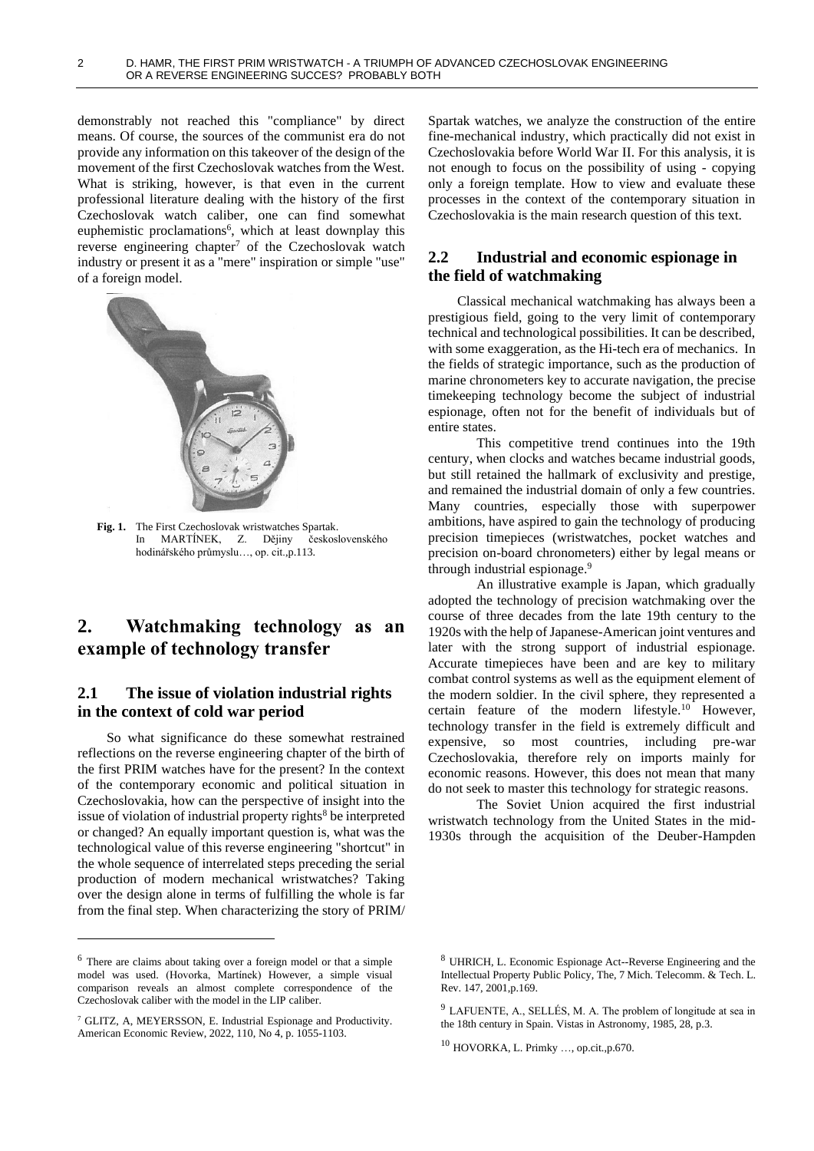demonstrably not reached this "compliance" by direct means. Of course, the sources of the communist era do not provide any information on this takeover of the design of the movement of the first Czechoslovak watches from the West. What is striking, however, is that even in the current professional literature dealing with the history of the first Czechoslovak watch caliber, one can find somewhat euphemistic proclamations<sup>6</sup>, which at least downplay this reverse engineering chapter<sup>7</sup> of the Czechoslovak watch industry or present it as a "mere" inspiration or simple "use" of a foreign model.



**Fig. 1.** The First Czechoslovak wristwatches Spartak. In MARTÍNEK, Z. Dějiny československého hodinářského průmyslu…, op. cit.,p.113.

# **2. Watchmaking technology as an example of technology transfer**

### **2.1 The issue of violation industrial rights in the context of cold war period**

So what significance do these somewhat restrained reflections on the reverse engineering chapter of the birth of the first PRIM watches have for the present? In the context of the contemporary economic and political situation in Czechoslovakia, how can the perspective of insight into the issue of violation of industrial property rights<sup>8</sup> be interpreted or changed? An equally important question is, what was the technological value of this reverse engineering "shortcut" in the whole sequence of interrelated steps preceding the serial production of modern mechanical wristwatches? Taking over the design alone in terms of fulfilling the whole is far from the final step. When characterizing the story of PRIM/ Spartak watches, we analyze the construction of the entire fine-mechanical industry, which practically did not exist in Czechoslovakia before World War II. For this analysis, it is not enough to focus on the possibility of using - copying only a foreign template. How to view and evaluate these processes in the context of the contemporary situation in Czechoslovakia is the main research question of this text.

# **2.2 Industrial and economic espionage in the field of watchmaking**

Classical mechanical watchmaking has always been a prestigious field, going to the very limit of contemporary technical and technological possibilities. It can be described, with some exaggeration, as the Hi-tech era of mechanics. In the fields of strategic importance, such as the production of marine chronometers key to accurate navigation, the precise timekeeping technology become the subject of industrial espionage, often not for the benefit of individuals but of entire states.

This competitive trend continues into the 19th century, when clocks and watches became industrial goods, but still retained the hallmark of exclusivity and prestige, and remained the industrial domain of only a few countries. Many countries, especially those with superpower ambitions, have aspired to gain the technology of producing precision timepieces (wristwatches, pocket watches and precision on-board chronometers) either by legal means or through industrial espionage.<sup>9</sup>

An illustrative example is Japan, which gradually adopted the technology of precision watchmaking over the course of three decades from the late 19th century to the 1920s with the help of Japanese-American joint ventures and later with the strong support of industrial espionage. Accurate timepieces have been and are key to military combat control systems as well as the equipment element of the modern soldier. In the civil sphere, they represented a certain feature of the modern lifestyle.<sup>10</sup> However, technology transfer in the field is extremely difficult and expensive, so most countries, including pre-war Czechoslovakia, therefore rely on imports mainly for economic reasons. However, this does not mean that many do not seek to master this technology for strategic reasons.

The Soviet Union acquired the first industrial wristwatch technology from the United States in the mid-1930s through the acquisition of the Deuber-Hampden

<sup>6</sup> There are claims about taking over a foreign model or that a simple model was used. (Hovorka, Martínek) However, a simple visual comparison reveals an almost complete correspondence of the Czechoslovak caliber with the model in the LIP caliber.

<sup>7</sup> GLITZ, A, MEYERSSON, E. Industrial Espionage and Productivity. American Economic Review, 2022, 110, No 4, p. 1055-1103.

<sup>8</sup> UHRICH, L. Economic Espionage Act--Reverse Engineering and the Intellectual Property Public Policy, The, 7 Mich. Telecomm. & Tech. L. Rev. 147, 2001,p.169.

<sup>9</sup> LAFUENTE, A., SELLÉS, M. A. The problem of longitude at sea in the 18th century in Spain. Vistas in Astronomy, 1985, 28, p.3.

<sup>10</sup> HOVORKA, L. Primky …, op.cit.,p.670.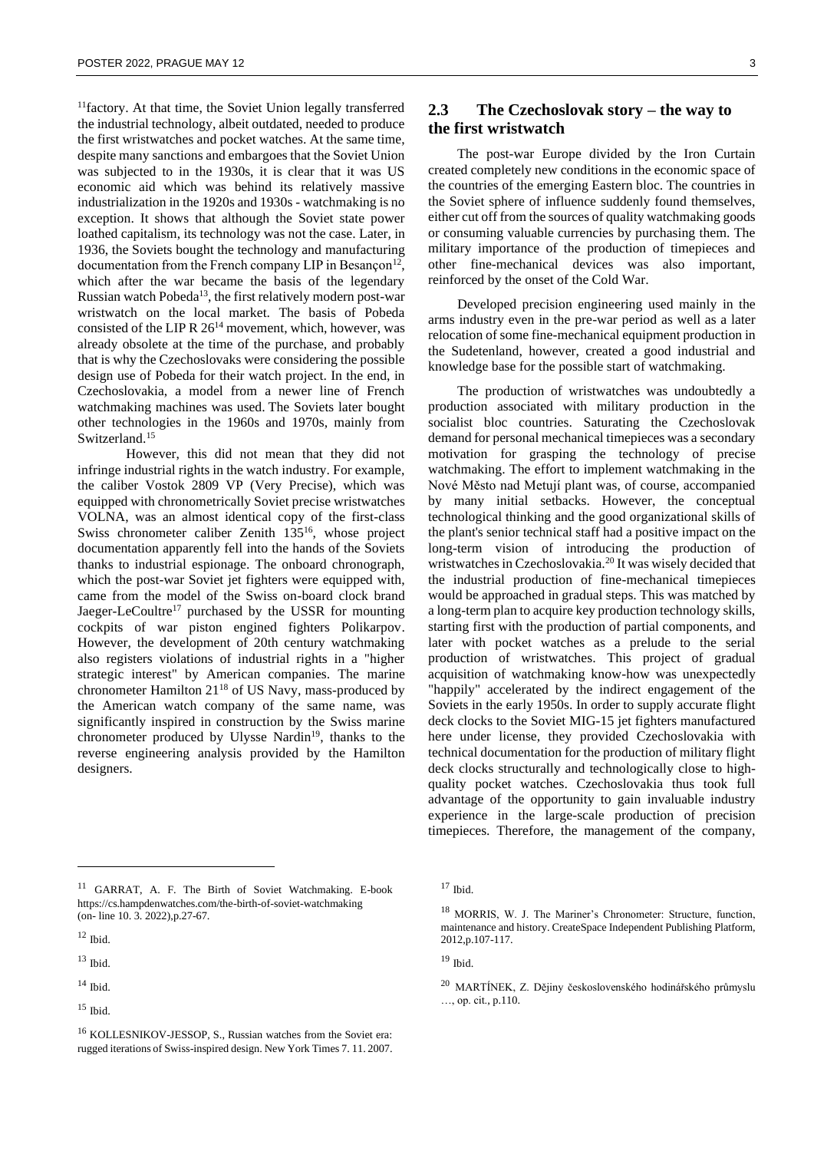<sup>11</sup>factory. At that time, the Soviet Union legally transferred the industrial technology, albeit outdated, needed to produce the first wristwatches and pocket watches. At the same time, despite many sanctions and embargoes that the Soviet Union was subjected to in the 1930s, it is clear that it was US economic aid which was behind its relatively massive industrialization in the 1920s and 1930s - watchmaking is no exception. It shows that although the Soviet state power loathed capitalism, its technology was not the case. Later, in 1936, the Soviets bought the technology and manufacturing documentation from the French company LIP in Besançon<sup>12</sup>, which after the war became the basis of the legendary Russian watch Pobeda<sup>13</sup>, the first relatively modern post-war wristwatch on the local market. The basis of Pobeda consisted of the LIP R  $26^{14}$  movement, which, however, was already obsolete at the time of the purchase, and probably that is why the Czechoslovaks were considering the possible design use of Pobeda for their watch project. In the end, in Czechoslovakia, a model from a newer line of French watchmaking machines was used. The Soviets later bought other technologies in the 1960s and 1970s, mainly from Switzerland.<sup>15</sup>

However, this did not mean that they did not infringe industrial rights in the watch industry. For example, the caliber Vostok 2809 VP (Very Precise), which was equipped with chronometrically Soviet precise wristwatches VOLNA, was an almost identical copy of the first-class Swiss chronometer caliber Zenith 135<sup>16</sup>, whose project documentation apparently fell into the hands of the Soviets thanks to industrial espionage. The onboard chronograph, which the post-war Soviet jet fighters were equipped with, came from the model of the Swiss on-board clock brand Jaeger-LeCoultre<sup>17</sup> purchased by the USSR for mounting cockpits of war piston engined fighters Polikarpov. However, the development of 20th century watchmaking also registers violations of industrial rights in a "higher strategic interest" by American companies. The marine chronometer Hamilton 21<sup>18</sup> of US Navy, mass-produced by the American watch company of the same name, was significantly inspired in construction by the Swiss marine chronometer produced by Ulysse Nardin<sup>19</sup>, thanks to the reverse engineering analysis provided by the Hamilton designers.

#### <sup>11</sup> GARRAT, A. F. The Birth of Soviet Watchmaking. E-book https://cs.hampdenwatches.com/the-birth-of-soviet-watchmaking (on- line 10. 3. 2022),p.27-67.

 $14$  Ibid.

### **2.3 The Czechoslovak story – the way to the first wristwatch**

The post-war Europe divided by the Iron Curtain created completely new conditions in the economic space of the countries of the emerging Eastern bloc. The countries in the Soviet sphere of influence suddenly found themselves, either cut off from the sources of quality watchmaking goods or consuming valuable currencies by purchasing them. The military importance of the production of timepieces and other fine-mechanical devices was also important, reinforced by the onset of the Cold War.

Developed precision engineering used mainly in the arms industry even in the pre-war period as well as a later relocation of some fine-mechanical equipment production in the Sudetenland, however, created a good industrial and knowledge base for the possible start of watchmaking.

The production of wristwatches was undoubtedly a production associated with military production in the socialist bloc countries. Saturating the Czechoslovak demand for personal mechanical timepieces was a secondary motivation for grasping the technology of precise watchmaking. The effort to implement watchmaking in the Nové Město nad Metují plant was, of course, accompanied by many initial setbacks. However, the conceptual technological thinking and the good organizational skills of the plant's senior technical staff had a positive impact on the long-term vision of introducing the production of wristwatches in Czechoslovakia.<sup>20</sup> It was wisely decided that the industrial production of fine-mechanical timepieces would be approached in gradual steps. This was matched by a long-term plan to acquire key production technology skills, starting first with the production of partial components, and later with pocket watches as a prelude to the serial production of wristwatches. This project of gradual acquisition of watchmaking know-how was unexpectedly "happily" accelerated by the indirect engagement of the Soviets in the early 1950s. In order to supply accurate flight deck clocks to the Soviet MIG-15 jet fighters manufactured here under license, they provided Czechoslovakia with technical documentation for the production of military flight deck clocks structurally and technologically close to highquality pocket watches. Czechoslovakia thus took full advantage of the opportunity to gain invaluable industry experience in the large-scale production of precision timepieces. Therefore, the management of the company,

 $12$  Ibid.

 $13$  Ibid.

 $15$  Ibid.

<sup>16</sup> KOLLESNIKOV-JESSOP, S., Russian watches from the Soviet era: rugged iterations of Swiss-inspired design. New York Times 7. 11. 2007.

 $17$  Ibid.

<sup>18</sup> MORRIS, W. J. The Mariner's Chronometer: Structure, function, maintenance and history. CreateSpace Independent Publishing Platform, 2012,p.107-117.

<sup>19</sup> Ibid.

<sup>&</sup>lt;sup>20</sup> MARTÍNEK, Z. Dějiny československého hodinářského průmyslu …, op. cit., p.110.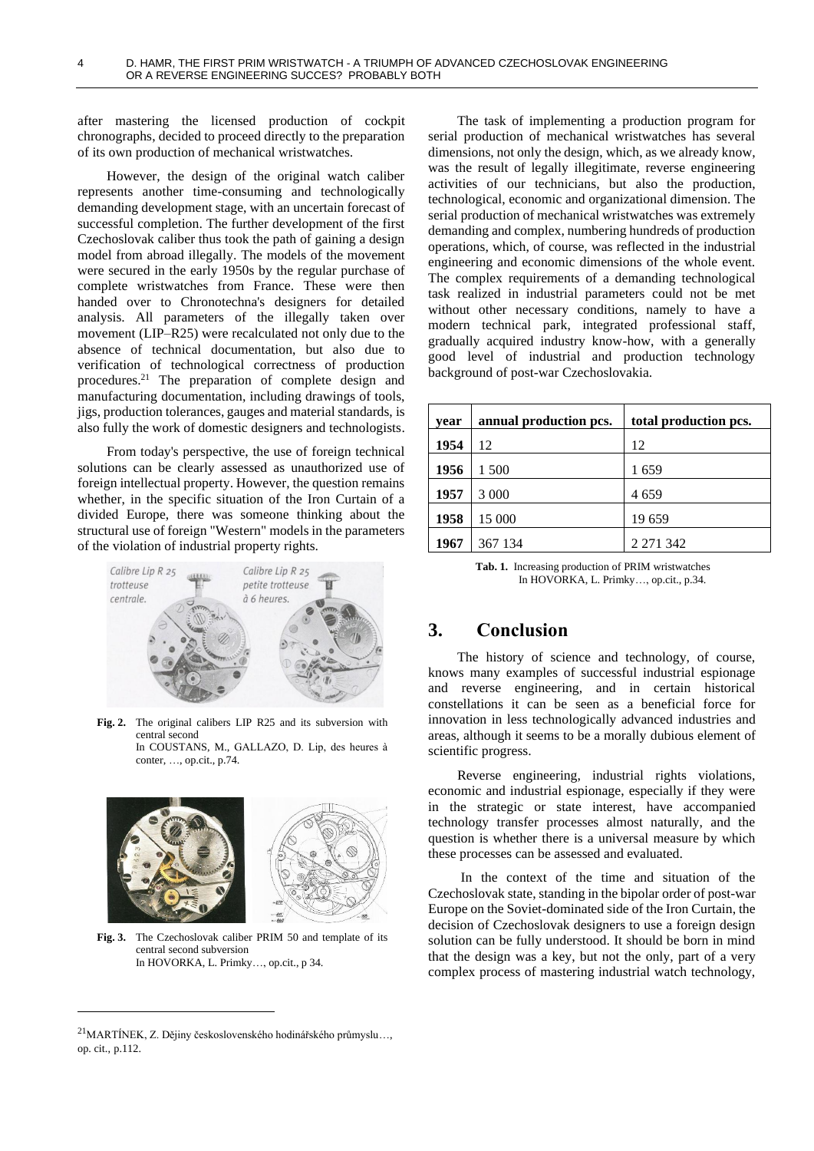after mastering the licensed production of cockpit chronographs, decided to proceed directly to the preparation of its own production of mechanical wristwatches.

However, the design of the original watch caliber represents another time-consuming and technologically demanding development stage, with an uncertain forecast of successful completion. The further development of the first Czechoslovak caliber thus took the path of gaining a design model from abroad illegally. The models of the movement were secured in the early 1950s by the regular purchase of complete wristwatches from France. These were then handed over to Chronotechna's designers for detailed analysis. All parameters of the illegally taken over movement (LIP–R25) were recalculated not only due to the absence of technical documentation, but also due to verification of technological correctness of production procedures.<sup>21</sup> The preparation of complete design and manufacturing documentation, including drawings of tools, jigs, production tolerances, gauges and material standards, is also fully the work of domestic designers and technologists.

From today's perspective, the use of foreign technical solutions can be clearly assessed as unauthorized use of foreign intellectual property. However, the question remains whether, in the specific situation of the Iron Curtain of a divided Europe, there was someone thinking about the structural use of foreign "Western" models in the parameters of the violation of industrial property rights.



**Fig. 2.** The original calibers LIP R25 and its subversion with central second

In COUSTANS, M., GALLAZO, D. Lip, des heures à conter, …, op.cit., p.74.



**Fig. 3.** The Czechoslovak caliber PRIM 50 and template of its central second subversion In HOVORKA, L. Primky…, op.cit., p 34.

<sup>21</sup>MARTÍNEK, Z. Dějiny československého hodinářského průmyslu…, op. cit., p.112.

The task of implementing a production program for serial production of mechanical wristwatches has several dimensions, not only the design, which, as we already know, was the result of legally illegitimate, reverse engineering activities of our technicians, but also the production, technological, economic and organizational dimension. The serial production of mechanical wristwatches was extremely demanding and complex, numbering hundreds of production operations, which, of course, was reflected in the industrial engineering and economic dimensions of the whole event. The complex requirements of a demanding technological task realized in industrial parameters could not be met without other necessary conditions, namely to have a modern technical park, integrated professional staff, gradually acquired industry know-how, with a generally good level of industrial and production technology background of post-war Czechoslovakia.

| vear | annual production pcs. | total production pcs. |
|------|------------------------|-----------------------|
| 1954 | 12                     | 12                    |
| 1956 | 1 500                  | 1659                  |
| 1957 | 3 0 0 0                | 4659                  |
| 1958 | 15 000                 | 19 659                |
| 1967 | 367 134                | 2 271 342             |

**Tab. 1.** Increasing production of PRIM wristwatches In HOVORKA, L. Primky…, op.cit., p.34.

# **3. Conclusion**

The history of science and technology, of course, knows many examples of successful industrial espionage and reverse engineering, and in certain historical constellations it can be seen as a beneficial force for innovation in less technologically advanced industries and areas, although it seems to be a morally dubious element of scientific progress.

Reverse engineering, industrial rights violations, economic and industrial espionage, especially if they were in the strategic or state interest, have accompanied technology transfer processes almost naturally, and the question is whether there is a universal measure by which these processes can be assessed and evaluated.

In the context of the time and situation of the Czechoslovak state, standing in the bipolar order of post-war Europe on the Soviet-dominated side of the Iron Curtain, the decision of Czechoslovak designers to use a foreign design solution can be fully understood. It should be born in mind that the design was a key, but not the only, part of a very complex process of mastering industrial watch technology,